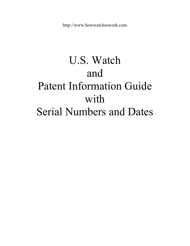# U.S. Watch and Patent Information Guide with Serial Numbers and Dates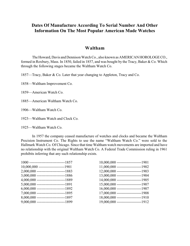# **Dates Of Manufacture According To Serial Number And Other Information On The Most Popular American Made Watches**

#### **Waltham**

The Howard, Davis and Dennison Watch Co., also known as AMERICAN HOROLOGE CO., formed in Roxbury, Mass. In 1850, failed in 1857, and was bought by the Tracy, Baker & Co. Which through the following stages became the Waltham Watch Co.

1857—Tracy, Baker & Co. Later that year changing to Appleton, Tracy and Co.

1858—Waltham Improvement Co.

1859—American Watch Co.

1885—American Waltham Watch Co.

1906—Waltham Watch Co.

1923—Waltham Watch and Clock Co.

1925—Waltham Watch Co.

In 1957 the company ceased manufacture of watches and clocks and became the Waltham Precision Instrument Co. The Rights to use the name "Waltham Watch Co." were sold to the Hallmark Watch Co. Of Chicago. Since that time Waltham watch movements are imported and have no relationship with the original Waltham Watch Co. A Federal Trade Commission ruling in 1961 prohibits inferring that any such relationship exists.

| 1000 ------------------------------1857  | $10,000,000$ --------------------<br>$-1901$ |
|------------------------------------------|----------------------------------------------|
| $10,000,000$ ----------------------1901  | $11,000,000$ ----------------------1902      |
| 2,000,000 -----------------------1883    | $12,000,000$ ----------------------1903      |
| $3,000,000$ ------------------------1886 | $13,000,000$ ----------------------1904      |
| 4,000,000 ------------------------1889   | $14,000,000$ ----------------------1905      |
| $5,000,000$ ------------------------1891 | $15,000,000$ ---------------------1907       |
| $6,000,000$ ------------------------1892 | $16,000,000$ ---------------------1907       |
| $7,000,000$ ------------------------1895 | $17,000,000$ ---------------------1908       |
| $8,000,000$ ------------------------1897 | $18,000,000$ ----------------------1910      |
| $9,000,000$ ------------------------1899 | $19,000,000$ ----------------------1912      |
|                                          |                                              |

| $10,000,000$ ---------------------1901  |
|-----------------------------------------|
| 11,000,000 ---------------------1902    |
| 12,000,000 ---------------------1903    |
| 13,000,000 ---------------------1904    |
| 14,000,000 ---------------------1905    |
| 15,000,000 ---------------------1907    |
| $16,000,000$ ---------------------1907  |
| 17,000,000 ---------------------1908    |
| $18,000,000$ ----------------------1910 |
| 19,000,000 ---------------------1912    |
|                                         |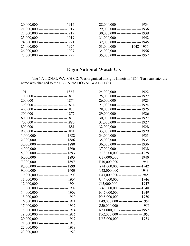| 20,000,000 ------------------------1914    | 28,000,000 ---------------------1934    |
|--------------------------------------------|-----------------------------------------|
| $21,000,000$ -------------------------1917 | 29,000,000 ---------------------1936    |
| $22,000,000$ -------------------------1917 | $30,000,000$ ---------------------1939  |
| 23,000,000 --------------------------1919  | $31,000,000$ ----------------------1942 |
| 24,000,000 -------------------------1921   | $32,000,000$ ----------------------1945 |
| $25,000,000$ -------------------------1926 | $33,000,000$ ------------1948 -1956     |
| $26,000,000$ -------------------------1927 | $34,000,000$ ----------------------1956 |
| 27,000,000 -------------------------1929   | $35,000,000$ ---------------------1957  |
|                                            |                                         |

# **Elgin National Watch Co.**

The NATIONAL WATCH CO. Was organized at Elgin, Illinois in 1864. Ten years later the name was changed to the ELGIN NATIONAL WATCH CO.

|                                             | 24,000,000 ---------------------1922   |  |
|---------------------------------------------|----------------------------------------|--|
| $100,000$ ----------------------------1870  | 25,000,000 ---------------------1922   |  |
| 200,000 ----------------------------1874    | 26,000,000 ---------------------1923   |  |
| 300,000 ----------------------------1874    | 27,000,000 ---------------------1924   |  |
| 400,000 -----------------------------1875   | 28,000,000 ---------------------1925   |  |
| 500,000 -----------------------------1877   | 29,000,000 ---------------------1926   |  |
| 600,000 -----------------------------1879   | 30,000,000 ---------------------1927   |  |
| 700,000 -----------------------------1880   | $31,000,000$ ---------------------1927 |  |
| 800,000 -----------------------------1881   | $32,000,000$ ---------------------1928 |  |
| 900,000 ----------------------------1881    | 33,000,000 ---------------------1929   |  |
| $1,000,000$ --------------------------1882  | 34,000,000 ---------------------1933   |  |
| 2,000,000 ---------------------------1886   | 35,000,000 ---------------------1934   |  |
| $3,000,000$ ---------------------------1888 | $36,000,000$ ---------------------1936 |  |
| 4,000,000 ---------------------------1890   | 37,000,000 ---------------------1938   |  |
| $5,000,000$ --------------------------1893  | X38,000,000 ------------------1939     |  |
| $6,000,000$ --------------------------1895  | $C39,000,000$ ------------------1940   |  |
| 7,000,000 --------------------------1897    | E40,000,000 ------------------1941     |  |
| 8,000,000 ---------------------------1899   | Y41,000,000 ------------------1942     |  |
| $9,000,000$ --------------------------1900  | T42,000,000 ------------------1943     |  |
| $10,000,000$ -------------------------1903  | L43,000,000 -------------------1945    |  |
| $11,000,000$ -------------------------1904  | U44,000,000 ------------------1946     |  |
| $12,000,000$ -------------------------1904  | J45,000,000 --------------------1947   |  |
| 13,000,000 --------------------------1907   | $V46,000,000$ ------------------1948   |  |
| 14,000,000 -------------------------1909    | H47,000,000 ------------------1949     |  |
| $15,000,000$ --------------------------1910 | N48,000,000 ------------------1950     |  |
| $16,000,000$ -------------------------1911  | F49,000,000 -------------------1951    |  |
| 17,000,000 --------------------------1912   | S50,000,000 --------------------1951   |  |
| 18,000,000 -------------------------1914    | R51,000,000 -------------------1952    |  |
| $19,000,000$ -------------------------1916  | P52,000,000 --------------------1952   |  |
| 20,000,000 -------------------------1917    | K53,000,000 -------------------1953    |  |
| 21,000,000 -------------------------1918    |                                        |  |
| 22,000,000 ---------------------------1919  |                                        |  |
| 23,000,000 ---------------------------1920  |                                        |  |

| 24,000,000 ---------------------1922     |
|------------------------------------------|
| 25,000,000 ---------------------1922     |
| 26,000,000 ---------------------1923     |
| 27,000,000 ---------------------1924     |
| 28,000,000 ---------------------1925     |
| 29,000,000 --------------------1926      |
| 30,000,000 ---------------------1927     |
| $31,000,000$ ---------------------1927   |
| $32,000,000$ ----------------------1928  |
| $33,000,000$ ----------------------1929  |
| 34,000,000 ---------------------1933     |
| 35,000,000 --------------------1934      |
| $36,000,000$ -----------------------1936 |
| $37,000,000$ ---------------------1938   |
| X38,000,000 ------------------1939       |
| $C39,000,000$ ------------------1940     |
| E40,000,000 ------------------1941       |
| $Y41,000,000$ -------------------1942    |
| T42,000,000 ------------------1943       |
| L43,000,000 ------------------1945       |
| U44,000,000 ------------------1946       |
| J45,000,000 -------------------1947      |
| $V46,000,000$ -------------------1948    |
| H47,000,000 ------------------1949       |
| N48,000,000 ------------------1950       |
| F49,000,000 -------------------1951      |
| S50,000,000 -------------------1951      |
| R51,000,000 -------------------1952      |
| P52,000,000 --------------------1952     |
| K53,000,000 -------------------1953      |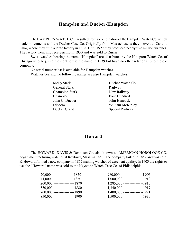# **Hampden and Dueber-Hampden**

The HAMPDEN WATCH CO. resulted from a combination of the Hampden Watch Co. which made movements and the Dueber Case Co. Originally from Massachusetts they moved to Canton, Ohio, where they built a large factory in 1888. Until 1927 they produced nearly five million watches. The factory went into receivership in 1930 and was sold to Russia.

Swiss watches bearing the name "Hampden" are distributed by the Hampton Watch Co. of Chicago who acquired the right to use the name in 1939 but have no other relationship to the old company.

No serial number list is available for Hampden watches. Watches bearing the following names are also Hampden watches.

> General Stark Railway Champion Stark New Railway Champion Four Hundred John C. Dueber John Hancock

Molly Stark Dueber Watch Co. Diadem William McKinley Dueber Grand Special Railway

#### **Howard**

The HOWARD, DAVIS & Dennison Co. also known as AMERICAN HOROLOGE CO. began manufacturing watches at Roxbury, Mass. in 1850. The company failed in 1857 and was sold. E. Howard formed a new company in 1857 making watches of excellent quality. In 1903 the rights to use the "Howard" name was sold to the Keystone Watch Case Co. of Philadelphia.

| $20,000$ -------------------1859 | 980,000 --------------------1909  |  |
|----------------------------------|-----------------------------------|--|
| $44,000$ ------------------1860  | $1,000,000$ -----------------1912 |  |
| $200,000$ -----------------1870  | $1,285,000$ -----------------1915 |  |
| $550,000$ ------------------1880 | $1,340,000$ -----------------1917 |  |
| $700,000$ -----------------1890  | $1,400,000$ -----------------1921 |  |
| $850,000$ -----------------1900  | $1,500,000$ -----------------1930 |  |

| 20,000 -------------------1859   | $980,000$ --------------------1909 |  |
|----------------------------------|------------------------------------|--|
| 44,000 -------------------1860   | $1,000,000$ -----------------1912  |  |
| 200,000 ------------------1870   | $1,285,000$ -----------------1915  |  |
| $550,000$ -----------------1880  | $1,340,000$ -----------------1917  |  |
| 700,000 -----------------1890    | $1,400,000$ -----------------1921  |  |
| $850,000$ ------------------1900 | $1,500,000$ -----------------1930  |  |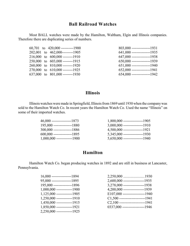## **Ball Railroad Watches**

Most BALL watches were made by the Hamilton, Waltham, Elgin and Illinois companies. Therefore there are duplicating series of numbers.

|  | $60,701$ to $420,000$ ----------1900 | $803,000$ ----------------1931 |
|--|--------------------------------------|--------------------------------|
|  | 202,001 to 462,000---------1905      | $641,000$ ----------------1935 |
|  | $216,000$ to $600,000$ --------1910  | 647,000 ----------------1938   |
|  | 250,000 to 603,000 --------1915      | $650,000$ ---------------1939  |
|  | 260,000 to 810,000 --------1920      | $651,000$ ----------------1940 |
|  | 270,000 to 610,000 --------1925      | $652,000$ ----------------1941 |
|  | 637,000 to 801,000 --------1930      | $654,000$ ----------------1942 |
|  |                                      |                                |

| $803,000$ ---------------1931  |
|--------------------------------|
| 641,000 ----------------1935   |
| 647,000 ----------------1938   |
| 650,000 ----------------1939   |
| $651,000$ ----------------1940 |
| $652,000$ ---------------1941  |
| 654,000 ----------------1942   |

# **Illinois**

Illinois watches were made in Springfield, Illinois from 1869 until 1930 when the company was sold to the Hamilton Watch Co. In recent years the Hamilton Watch Co. Used the name "Illinois" on some of their imported watches.

| $1,800,000$ -----------------1905 |
|-----------------------------------|
| $3,000,000$ -----------------1910 |
| $4,500,000$ -----------------1921 |
| $5,345,000$ -----------------1930 |
| $5,650,000$ -----------------1940 |
|                                   |

# **Hamilton**

Hamilton Watch Co. began producing watches in 1892 and are still in business at Lancaster, Pennsylvania.

| $16,000$ ------------------1894 |
|---------------------------------|
| $95,000$ ----------------1895   |
| 195,000 ---------------1896     |
| $1,000,000$ -------------1900   |
| $1,125,000$ -------------1905   |
| $1,250,000$ -------------1910   |
| $1,450,000$ -------------1915   |
| $1,850,000$ -------------1921   |
| 2,250,000 --------------1925    |

| $16,000$ ----------------1894 |                                     |
|-------------------------------|-------------------------------------|
| $95,000$ ----------------1895 | $2,600,000$ -----------------1935   |
| $195,000$ ---------------1896 | $3,278,000$ ------------------1938  |
| $1,000,000$ -------------1900 | $4,200,000$ ------------------1939  |
| $1,125,000$ -------------1905 | $E107,000$ -------------------1940  |
| $1,250,000$ -------------1910 | $C1,500$ ----------------------1941 |
| $1,450,000$ -------------1915 | $C2,100$ ----------------------1941 |
| $1,850,000$ -------------1921 | $0337,000$ -------------------1946  |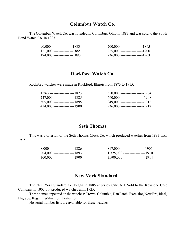#### **Columbus Watch Co.**

The Columbus Watch Co. was founded in Columbus, Ohio in 1883 and was sold to the South Bend Watch Co. In 1903.

| $90,000$ -----------------1883  | 200,000 ---------------------1895 |  |
|---------------------------------|-----------------------------------|--|
| $121,000$ -----------------1885 |                                   |  |
| $174,000$ -----------------1890 | 236,000 ---------------------1903 |  |

# **Rockford Watch Co.**

Rockford watches were made in Rockford, Illinois from 1873 to 1915.

| $1,763$ ---------------------1873 | $550,000$ --------------------1904  |
|-----------------------------------|-------------------------------------|
| 247,000 -----------------1885     | $690,000$ --------------------1908  |
| 305,000 ------------------1895    | 849,000 ---------------------1912   |
| 414,000 -----------------1900     | $936,000$ ---------------------1912 |

# **Seth Thomas**

This was a division of the Seth Thomas Clock Co. which produced watches from 1883 until 1915.

| $8,000$ ---------------------1886 | $817,000$ ----------------------1906   |  |
|-----------------------------------|----------------------------------------|--|
| 204,000 ------------------1893    | $1,325,000$ ----------------------1910 |  |
| $300,000$ -----------------1900   | $3,500,000$ ---------------------1914  |  |

#### **New York Standard**

The New York Standard Co. began in 1885 at Jersey City, N.J. Sold to the Keystone Case Company in 1903 but produced watches until 1925.

These names appeared on the watches: Crown, Columbia, Dan Patch, Excelsior, New Era, Ideal, Higrade, Regent, Wilminton, Perfection

No serial number lists are available for these watches.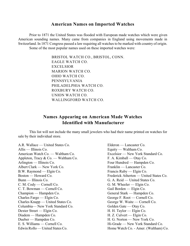#### **American Names on Imported Watches**

Prior to 1871 the United States was flooded with European made watches which were given American sounding names. Many came from companies in England using movements made in Switzerland. In 1871 Congress passed a law requiring all watches to be marked with country of origin. Some of the most popular names used on these imported watches were:

> BRISTOL WATCH CO., BRISTOL, CONN. EAGLE WATCH CO. EXCELSIOR MARION WATCH CO. OHIO WATCH CO. PENNSYLVANIA PHILADELPHIA WATCH CO. ROXBURY WATCH CO. UNION WATCH CO. WALLINGFORD WATCH CO.

# **Names Appearing on American Made Watches Identified with Manufacturer**

This list will not include the many small jewelers who had their name printed on watches for sale by their individual store.

A.R. Wallace — United States Co. Elderon — Lancaster Co. Allis — Illinois Co. **Equity — Waltham Co.** American Watch Co. — Waltham Co. <br>
Excelsior — New York Standard Co. Appleton, Tracy & Co. — Waltham Co. F. A. Kimball — Otay Co. Arlington — Illinois Co. Four Hundred — Hampden Co. Albert Clark — New York Co.<br>
B.W. Raymond — Elgin Co. Francis Ruby — Elgin Co.  $B.W.$  Raymond — Elgin Co. Bunn — Illinois Co. G. A. Reid — United States Co. C. M. Cody — Cornell Co. G. M. Wheeler — Elgin Co. C. T. Bowman — Cornell Co. Gail Borden — Elgin Co. Champion — Hampden Co.<br>
Charles Fargo — Elgin Co.<br>
George F. Root — Cornell Co. Charles Knapp — United States Co. George W. Waite — Cornell Co. Columbia— New York Standard Co. Golden Gate — Otay Co. Dexter Street — Elgin Co. H. H. Taylor — Elgin Co. Diadem — Hampden Co. **H. Z. Culvert — Elgin Co.** Dueber — Hampden Co. **H. G. Norton — New York Co.** E. S. Williams — Cornell Co. Hi-Grade — New York Standard Co. Edwin Rollo — United States Co. Home Watch Co. - Amer. (Waltham) Co.

Boston — Howard Co. Frederick Atherton — United States Co. George F. Root — Cornell Co.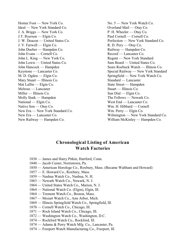Homer Foot — New York Co.  $\qquad N_0.5$  — New York Watch Co. Ideal — New York Standard Co.  $Overland Mail - Otay Co.$ J. A. Briggs — New York Co. P. H. Wheeler — Otay Co. J.T. Ryerson — Elgin Co. Paul Cornell — Cornell Co. J. V. Farwell — Elgin Co. <br>
John Dueber — Hampden Co. Railway — Hampden Co. John Dueber — Hampden Co. John Evans — Cornell Co. Record — Lancaster Co. John L. King — New York Co. Regent — New York Standard John Lewis — United States Co. Sam Beard — United States Co. John Hancock — Hampden Sears Roebuck Watch — Illinois Co. M. D. Ogden — Elgin Co. Springfield — New York Watch Co. Mary Stuart — Illinois Co. Standard — Lancaster Mat Laflin — Elgin Co. State Street — Hampden Melrose — Lancaster Stuart — Illinois Co. Miller — Illinois Co. Sun Dial — Elgin Co. Molly Stark — Hampden The Fellows — Newark Co. National — Elgin Co. West End — Lancaster Co. Native Son — Otay Co. Wm. H. Hibbard — Cornell New Era — New York Standard Co. Wm. Perry — Elgin Co. New Railway — Hampden Co. William McKinley — Hampden Co.

J. W. Deacon — United States Co. Perfection — New York Standard Co. Keystone — Lancaster Co. Special Railway — New York Standard New Era — Lancaster Co. Wilmington — New York Standard Co.

# **Chronological Listing of American Watch Factories**

- 1838 James and Harry Pitkin, Hartford, Conn.
- 1840 Jacob Custer, Norristown, Pa.
- 1850 American Horologe Co., Roxbury, Mass. (Became Waltham and Howard)
- 1857 E. Howard Co., Roxbury, Mass.
- 1859 Nashua Watch Co., Nashua, N. H.
- 1863 Newark Watch Co., Newark, N. J.
- 1864 United States Watch Co., Marion, N. J.
- 1864 National Watch Co. (Elgin), Elgin, Ill.
- 1864 Tremont Watch Co., Boston, Mass.
- 1867 Mozart Watch Co., Ann Arbor, Mich.
- 1869 Illinois Springfield Watch Co., Springfield, Ill.
- 1870 Cornell Watch Co., Chicago, Ill.
- 1871 Rock Island Watch Co., Chicago, Ill.
- 1872 Washington Watch Co., Washington, D.C.
- 1874 Rockford Watch Co., Rockford, Ill.
- 1874 Adams & Perry Watch Mfg. Co., Lancaster, Pa.
- 1874 Freeport Watch Manufacturing Co., Freeport, Ill.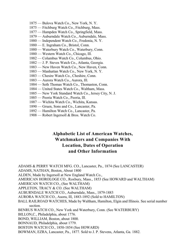- 1875 Bulova Watch Co., New York, N. Y.
- 1875 Fitchburg Watch Co., Fitchburg, Mass.
- 1877 Hampden Watch Co., Springfield, Mass.
- 1879 Auburndale Watch Co., Auburndale, Mass.
- 1880 Independent Watch Co., Fredonia, N. Y.
- 1880 E. Ingraham Co., Bristol, Conn.
- 1880 Waterbury Watch Co., Waterbury, Conn.
- 1880 Western Watch Co., Chicago, Ill.
- 1882 Columbus Watch Co., Columbus, Ohio.
- 1882 J. P. Steves Watch Co., Atlanta, Georgia.
- 1883 New Haven Watch Co., New Haven, Conn.
- 1883 Manhattan Watch Co., New York, N. Y.
- 1883 Chesire Watch Co., Cheshire, Conn.
- 1883 Aurora Watch Co., Aurora, Ill.
- 1884 Seth Thomas Watch Co., Thomaston, Conn.
- 1884 United States Watch Co., Waltham, Mass.
- 1885 New York Standard Watch Co., Jersey City, N. J.
- 1885 Peoria Watch Co., Peoria, Ill.
- 1887 Wichita Watch Co., Wichita, Kansas.
- 1890 Gruen, Sons and Co., Lancaster, Pa.
- 1892 Hamilton Watch Co., Lancaster, Pa.
- 1908 Robert Ingersoll & Bros. Watch Co.

# **Alphabetic List of American Watches, Watchmakers and Companies With Location, Dates of Operation and Other Information**

ADAMS & PERRY WATCH MFG. CO., Lancaster, Pa., 1874 (See LANCASTER) ADAMS, NATHAN, Boston, About 1800 ALDEN, Made by Ingersoll at New England Watch Co., AMERICAN HOROLOGE CO., Roxbury, Mass., 1853 (See HOWARD and WALTHAM) AMERICAN WATCH CO., (See WALTHAM) APPLETON, TRACY & CO. (See WALTHAM) AUBURNDALE WATCH CO., Auburndale, Mass., 1879-1883 AURORA WATCH CO., Auora, Ill, 1883-1892 (Sold to HAMILTON) BALL RAILROAD WATCHES, Made by Waltham, Hamilton, Elgin and Illinois. See serial number section. BENRUS WATCH CO., New York and Waterbury, Conn. (See WATERBURY) BILLON,C., Philadelphia, about 1776. BOND, WILLIAM, Boston, about 1800. BONNAUD, Philadelphia, about 1779. BOSTON WATCH CO., 1850-1854 (See HOWARD) BOWMAN, EZRA, Lancaster, Pa., 1877. Sold to J. P. Stevens, Atlanta, Ga. 1882.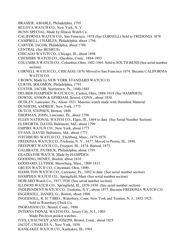- BRASIER, AMABLE, Philadelphia, 1795
- BULOVA WATCH CO., New York, N. Y.
- BUNN SPECIAL, Made by Illinois Watch Co.
- CALIFORNIA WATCH CO., San Francisco. 1878 (See CORNELL) Sold to FREDONIA 1878.
- CAMPBELL, CHARLES, Philadelphia, about 1796.
- CARVER, JACOB, Philadelphia, about 1788.
- CENTRAL (See BENRUS)
- CHICAGO WATCH CO., Chicago, Ill., about 1898.
- CHESHIRE WATCH CO., Cheshire, Conn., 1884-1893
- COLUMBUS WATCH CO., Columbus, Ohio, 1882-1903. Sold to SOUTH BEND (See serial number section)
- CORNELL WATCH CO., CHICAGO, 1870. Moved to San Francisco 1874. Became CALIFORNIA WATCH CO.
- CROWN, Made by NEW YORK STANDARD WATCH CO.
- CURTIS, SOLOMON, Philadelphia, 1793
- CUSTER, JACOB, Norristown, Pa., 1840-1845
- DEUBER-HAMPDEN WATCH CO., Canton, Ohio, 1888-1919 (See HAMPDEN)
- DOWNS, ANSON & EPHRIAM, Bristol, CONN., about 1830.
- DUDLEY, Lancaster, Pa., About 1923. Masonic watch made with Hamilton Material.
- DUNHEIM, ANDREW, New York, 1775.
- DUTCH, STEPHEN, Boston, 1800
- EBERMAN, JOHN, Lancaster, Pa., about 1790.
- ELGIN NATIONAL WATCH CO., Elgin, Ill., 1864 to date. (See Serial Number Section)
- ELSWORTH, DAVID, Baltimore, Md., about 1790
- EMPIRE WATCH CO., New York, about 1773
- EVANS, DAVID, Baltimore, Md., about 1773
- FITCHBURG WATCH CO., Fitchburg, Mass., 1875-1878
- FREDONIA WATCH CO., Fredonia, N. Y., 1877. Moved to Peoria, Ill., 1890.
- FREEPORT WATCH CO., Freeport, Ill., 1874. Burned, 1875.
- GALBRATH, PATRICK, Philadelphia, about 1795
- GLADIATOR WATCH. Made by HAMPDEN.
- GOODING, HENRY, Boston, about 1810.
- GOODARD, LUTHER, Shrewburg, Mass., 1809-1815.
- GRUEN WATCH CO., Cincinnati, Ohio, 1890-
- HAMILTON WATCH CO., Lancaster, Pa., 1892 to date. (See serial number section)
- HAMPDEN WATCH CO., Springfield, Mass (See serial number section)
- HOWARD Watch Co., 1857-1930. (See serial number section)
- ILLINOIS WATCH CO., Springfield, Ill., 1870-1930. (See serial number section)
- INDEPENDENT WATCH CO., Fredonia, N.Y., about 1877. Become FREDONIA WATCH CO.
- INGERSOLL, DANIEL G., Boston, about 1800.
- INGERSOLL, R. H. 7 BRO., Waterbury, Conn. New York and Trenton, N. J., 1892-1925. Sold to Waterbury Clock Co.
- INGRAHAM CO., Bristol, Conn., 1880
- INTERNATIONAL WATCH CO., Jersey City, N.J., 1905.
	- Made Pin-lever pocket watches.
- IVES, CHAUNCEY AND JOSEPH, Bristol, Conn., about 1825
- JACOT, CHARLES A., New York, 1850
- KANKAKEE WATCH CO., Kankakee, Ill., 1901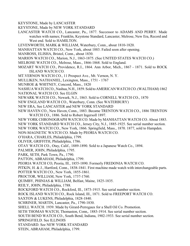KEYSTONE, Made by LANCASTER

- KEYSTONE, Made by NEW YORK STANDARD
- LANCASTER WATCH CO., Lancaster, Pa., 1877. Successor to ADAMS AND PERRY. Made watches with names; Franklin, Keystone Standard, Lancaster, Melrose, New Era, Record and West end. Sold to HAMILTON.
- LEVENWORTH, MARK & WILLIAM, Waterbury, Conn., about 1810-1820.
- MANHATTAN WATCH CO., New York, about 1883. Failed soon after opening.
- MANROSS, ELISHA, Bristol, Conn., about 1830.
- MARION WATCH CO., Marion, N.J., 1863-1875. (See UNITED STATES WATCH CO.)
- MELROSE WATCH CO., Melrose, Mass., 1866-1868. Sold to England.
- MOZART WATCH CO., Providence, R.I., 1864. Ann Arbor, Mich., 1867 1871. Sold to ROCK ISLAND WATCH CO.
- MT.VERNON WATCH CO., 11 Prospect Ave., Mt. Vernon, N. Y.
- MULLIKEN, NATHANIEL, Lexington, Mass., 1751 1767
- MUNROE & WHITNEY, Concord, Mass., 1820
- NASHUA WATCH CO., Nashua, N.H., 1859. Sold to AMERICAN WATCH CO. (WALTHAM) 1862
- NATIONAL WATCH CO. See ELGIN
- NEWARK WATCH CO., Newark, N.J., 1863. Sold to CORNELL WATCH CO., 1870
- NEW ENGLAND WATCH CO., Waterbury, Conn. (See WATERBURY)
- NEW ERA, See LANCASTER and NEW YORK STANDARD
- NEW HAVEN CO., New Haven, Conn., 1883. Became TRENTON WATCH CO., 1886 TRENTON WATCH CO., 1886. Sold to Robert Ingersoll 1897.
- NEW YORK CHRONOGRAPH WATCH CO. Made by MANHATTAN WATCH CO. About 1883.
- NEW YORK STANDARD WATCH CO., Jersey City, N.J., 1885-1925. See serial number section.
- NEW YORK WATCH CO., New York, 1866. Springfield, Mass., 1870. 1877, sold to Hampden.
- NON-MAGNETIC WATCH CO. Made by PEORIA WATCH CO.
- O'HARA, CHARLES, Philadelphia, 1799.
- OLIVER, GRIFFITH, Philadelphia, 1786.
- OTAY WATCH CO., Otay, Calif., 1889-1890. Sold to a Japanese Watch Co., 1894.
- PALMER, JOHN, Philadelphia, 1795.
- PARK, SETH, Park Town, Pa., 1790.
- PATTON, ABRAHAM, Philadelphia, 1799.
- PEORIA WATCH CO, Peoria, Ill., 1855-1890. Formerly FREDONIA WATCH CO.
- PITKIN, H. & J., Hartford, Conn., 1838-1841. First machine made watch with interchangeable parts.
- POTTER WATCH CO., New York, 1855-1861.
- PROCTOR, WILLIAM, New York, 1737-1760.
- QUIMBY, PHINIAS & WILLIAM, Belfast, Maine, 1825-1835.
- REILY, JOHN, Philadelphia, 1788.
- ROCKFORD WATCH CO., Rockford, Ill., 1873-1915. See serial number section.
- ROCK ISLAND WATCH CO., Rock Island, Ill., 1871. Sold to FREEPORT WATCH CO.
- SAXTON & LUKENS, Philadelphia, 1828-1840.
- SCHRINER, MARTIN, Lancaster, Pa., 1790-1830.
- SHELL WATCH. 1939. Made by Girard-Perregaux for a Shell Oil Co. Promotion.
- SETH THOMAS WATCH, Thomaston, Conn,. 1883-1914. See serial number section.
- SOUTH BEND WATCH CO., South Bend, Indiana, 1902-1933. See serial number section.
- SPRINGFIELD. See ILLINOIS
- STANDARD. See NEW YORK STANDARD
- STEIN, ABRAHAM, Philadelphia, 1799.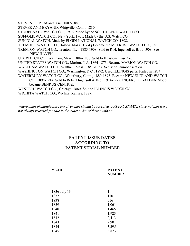STEVENS, J.P., Atlanta, Ga., 1882-1887.

STEVER AND BRYAND, Whigville, Conn., 1830.

STUDEBAKER WATCH CO., 1916. Made by the SOUTH BEND WATCH CO.

SUFFOLK WATCH CO., New York, 1901. Made by the U.S. Watch CO.

SUN DIAL WATCH. Made by ELGIN NATIONAL WATCH CO. 1898.

TREMONT WATCH CO., Boston, Mass., 1864.j Became the MELROSE WATCH CO., 1866.

TRENTON WATCH CO., Trenton, N.J., 1885-1908. Sold to R.H. Ingersoll & Bro., 1908. See NEW HAVEN.

U.S. WATCH CO., Waltham, Mass., 1884-1888. Sold to Keystone Case Co.

- UNITED STATES WATCH CO., Marion, N.J., 1864-1873. Became MARION WATCH CO.
- WALTHAM WATCH CO., Waltham Mass., 1850-1957. See serial number section.
- WASHINGTON WATCH CO., Washington, D.C., 1872. Used ILLINOIS parts. Failed in 1874.
- WATERBURY WATCH CO., Waterbury, Conn., 1880-1893. Became NEW ENGLAND WATCH CO., 1898-1914. Sold to Robert Ingersoll & Bro., 1914-1922. INGERSOLL-ALDEN Model became BENRUS-CENTRAL.
- WESTERN WATCH CO., Chicago, 1880. Sold to ILLINOIS WATCH CO.

WICHITA WATCH CO., Wichita, Kansas, 1887.

*Where dates of manufacture are given they should be accepted as APPROXIMATE since watches were not always released for sale in the exact order of their numbers.*

# **PATENT ISSUE DATES ACCORDING TO PATENT SERIAL NUMBER**

#### **YEAR PATENT NUMBER**

| 1836 July 13 |       |
|--------------|-------|
| 1837         | 110   |
| 1838         | 516   |
| 1839         | 1,061 |
| 1840         | 1,465 |
| 1841         | 1,923 |
| 1842         | 2,413 |
| 1843         | 2,901 |
| 1844         | 3,395 |
| 1845         | 3,873 |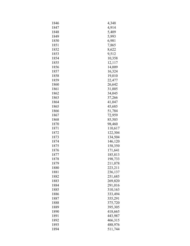| 1846 | 4,348   |
|------|---------|
| 1847 | 4,914   |
| 1848 | 5,409   |
| 1849 | 5,993   |
| 1850 | 6,981   |
| 1851 | 7,865   |
| 1852 | 8,622   |
| 1853 | 9,512   |
| 1854 | 10,358  |
| 1855 | 12,117  |
| 1856 | 14,009  |
| 1857 | 16,324  |
| 1858 | 19,010  |
| 1859 | 22,477  |
| 1860 | 26,642  |
| 1861 | 31,005  |
| 1862 | 34,045  |
| 1863 | 37,266  |
| 1864 | 41,047  |
| 1865 | 45,685  |
| 1866 | 51,784  |
| 1867 | 72,959  |
| 1868 | 85,503  |
| 1870 | 98,460  |
| 1871 | 110,617 |
| 1872 | 122,304 |
| 1873 | 134,504 |
| 1874 | 146,120 |
| 1875 | 158,350 |
| 1876 | 171,641 |
| 1877 | 185,813 |
| 1878 | 198,733 |
| 1879 | 211,078 |
| 1880 | 223,211 |
| 1881 | 236,137 |
| 1882 | 251,685 |
| 1883 | 269,820 |
| 1884 | 291,016 |
| 1885 | 310,163 |
| 1886 | 333,494 |
| 1887 | 355,291 |
| 1888 | 375,720 |
| 1889 | 395,305 |
| 1890 | 418,665 |
| 1891 | 443,987 |
| 1892 | 466,315 |
| 1893 | 488,976 |
| 1894 | 511,744 |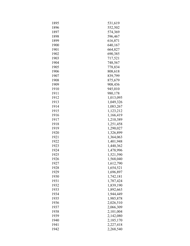| 1895 | 531,619   |
|------|-----------|
| 1896 | 552,502   |
| 1897 | 574,369   |
| 1898 | 596,467   |
| 1899 | 616,871   |
| 1900 | 640,167   |
| 1901 | 664,827   |
| 1902 | 690,385   |
| 1903 | 717,521   |
| 1904 | 748,567   |
| 1905 | 778,834   |
| 1906 | 808,618   |
| 1907 | 839,799   |
| 1908 | 875,679   |
| 1909 | 908,436   |
| 1910 | 945,010   |
| 1911 | 980,178   |
| 1912 | 1,013,095 |
| 1913 | 1,049,326 |
| 1914 | 1,083,267 |
| 1915 | 1,123,212 |
| 1916 | 1,166,419 |
| 1917 | 1,210,389 |
| 1918 | 1,251,458 |
| 1919 | 1,290,027 |
| 1920 | 1,326,899 |
| 1921 | 1,364,063 |
| 1922 | 1,401,948 |
| 1923 | 1,440,362 |
| 1924 | 1,478,996 |
| 1925 | 1,521,590 |
| 1926 | 1,568,040 |
| 1927 | 1,612,790 |
| 1928 | 1,654,521 |
| 1929 | 1,696,897 |
| 1930 | 1,742,181 |
| 1931 | 1,787,424 |
| 1932 | 1,839,190 |
| 1933 | 1,892,663 |
| 1934 | 1,944,449 |
| 1935 | 1,985,878 |
| 1936 | 2,026,510 |
| 1937 | 2,066,309 |
| 1938 | 2,101,004 |
| 1939 | 2,142,080 |
| 1940 | 2,185,170 |
| 1941 | 2,227,418 |
| 1942 | 2,268,540 |